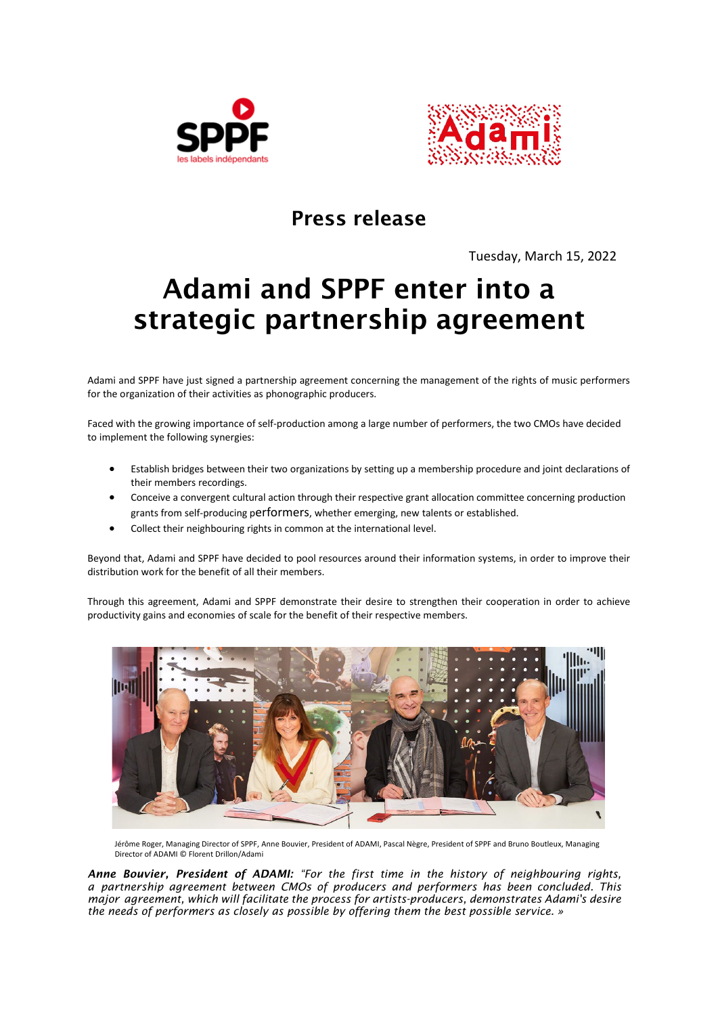



## Press release

Tuesday, March 15, 2022

## Adami and SPPF enter into a strategic partnership agreement

Adami and SPPF have just signed a partnership agreement concerning the management of the rights of music performers for the organization of their activities as phonographic producers.

Faced with the growing importance of self-production among a large number of performers, the two CMOs have decided to implement the following synergies:

- Establish bridges between their two organizations by setting up a membership procedure and joint declarations of their members recordings.
- Conceive a convergent cultural action through their respective grant allocation committee concerning production grants from self-producing performers, whether emerging, new talents or established.
- Collect their neighbouring rights in common at the international level.

Beyond that, Adami and SPPF have decided to pool resources around their information systems, in order to improve their distribution work for the benefit of all their members.

Through this agreement, Adami and SPPF demonstrate their desire to strengthen their cooperation in order to achieve productivity gains and economies of scale for the benefit of their respective members.



Jérôme Roger, Managing Director of SPPF, Anne Bouvier, President of ADAMI, Pascal Nègre, President of SPPF and Bruno Boutleux, Managing Director of ADAMI © Florent Drillon/Adami

*Anne Bouvier, President of ADAMI: "For the first time in the history of neighbouring rights, a partnership agreement between* CMOs *of producers and performers has been concluded. This major agreement, which will facilitate the process for artists-producers, demonstrates Adami's desire the needs of performers as closely as possible by offering them the best possible service.* »